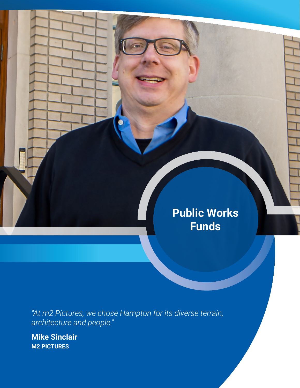# **Public Works Funds**

*"At m2 Pictures, we chose Hampton for its diverse terrain, architecture and people."* 

**Mike Sinclair M2 PICTURES**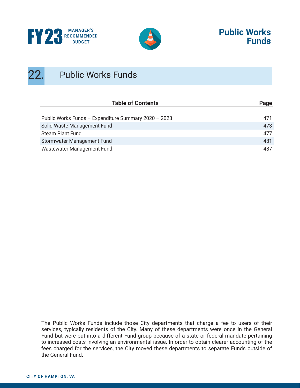





# 22. Public Works Funds

| <b>Table of Contents</b>                             | Page |
|------------------------------------------------------|------|
|                                                      |      |
| Public Works Funds - Expenditure Summary 2020 - 2023 | 471  |
| Solid Waste Management Fund                          | 473  |
| <b>Steam Plant Fund</b>                              | 477  |
| Stormwater Management Fund                           | 481  |
| Wastewater Management Fund                           | 487  |

The Public Works Funds include those City departments that charge a fee to users of their services, typically residents of the City. Many of these departments were once in the General Fund but were put into a different Fund group because of a state or federal mandate pertaining to increased costs involving an environmental issue. In order to obtain clearer accounting of the fees charged for the services, the City moved these departments to separate Funds outside of the General Fund.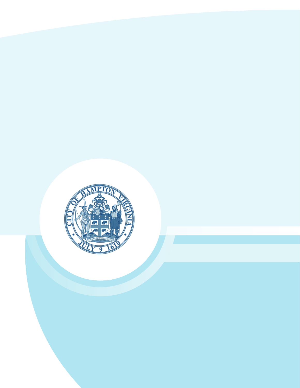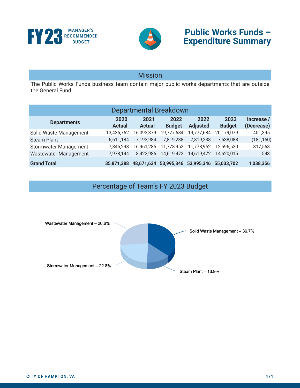



## **Public Works Funds – Expenditure Summary**

## Mission

The Public Works Funds business team contain major public works departments that are outside the General Fund.

| Departmental Breakdown       |                       |                       |                       |                         |                       |                          |
|------------------------------|-----------------------|-----------------------|-----------------------|-------------------------|-----------------------|--------------------------|
| <b>Departments</b>           | 2020<br><b>Actual</b> | 2021<br><b>Actual</b> | 2022<br><b>Budget</b> | 2022<br><b>Adjusted</b> | 2023<br><b>Budget</b> | Increase /<br>(Decrease) |
| Solid Waste Management       | 13,436,762            | 16,093,379            | 19,777,684            | 19,777,684              | 20,179,079            | 401,395                  |
| <b>Steam Plant</b>           | 6,611,184             | 7,193,984             | 7,819,238             | 7,819,238               | 7,638,088             | (181, 150)               |
| <b>Stormwater Management</b> | 7,845,298             | 16,961,285            | 11,778,952            | 11,778,952              | 12,596,520            | 817,568                  |
| <b>Wastewater Management</b> | 7,978,144             | 8,422,986             | 14,619,472            | 14,619,472              | 14,620,015            | 543                      |
| <b>Grand Total</b>           | 35.871.388            | 48,671,634            | 53,995,346            | 53,995,346              | 55.033.702            | 1,038,356                |

## Percentage of Team's FY 2023 Budget

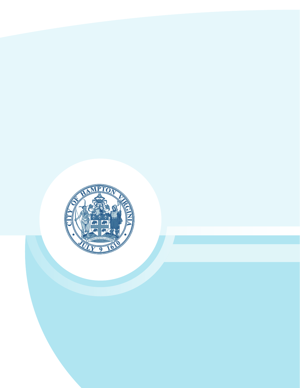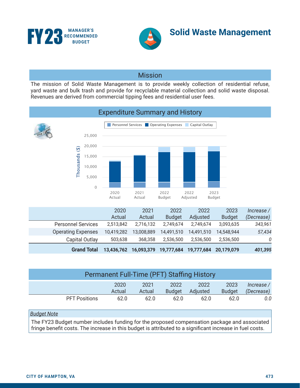



## Mission

The mission of Solid Waste Management is to provide weekly collection of residential refuse, yard waste and bulk trash and provide for recyclable material collection and solid waste disposal. Revenues are derived from commercial tipping fees and residential user fees.



| Permanent Full-Time (PFT) Staffing History |                |                |                       |                  |                       |                          |
|--------------------------------------------|----------------|----------------|-----------------------|------------------|-----------------------|--------------------------|
|                                            | 2020<br>Actual | 2021<br>Actual | 2022<br><b>Budget</b> | 2022<br>Adjusted | 2023<br><b>Budget</b> | Increase /<br>(Decrease) |
| <b>PFT Positions</b>                       | 62.0           | 62.0           | 62.0                  | 62.0             | 62.0                  | 0.0                      |

### *Budget Note*

The FY23 Budget number includes funding for the proposed compensation package and associated fringe benefit costs. The increase in this budget is attributed to a significant increase in fuel costs.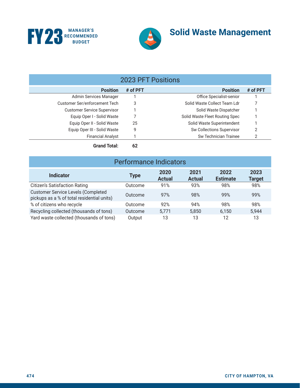



|                                    |          | <b>2023 PFT Positions</b>      |          |
|------------------------------------|----------|--------------------------------|----------|
| <b>Position</b>                    | # of PFT | <b>Position</b>                | # of PFT |
| Admin Services Manager             |          | Office Specialist-senior       |          |
| Customer Ser/enforcement Tech      | 3        | Solid Waste Collect Team Ldr   |          |
| <b>Customer Service Supervisor</b> |          | Solid Waste Dispatcher         |          |
| Equip Oper I - Solid Waste         |          | Solid Waste Fleet Routing Spec |          |
| Equip Oper II - Solid Waste        | 25       | Solid Waste Superintendent     |          |
| Equip Oper III - Solid Waste       | 9        | Sw Collections Supervisor      | 2        |
| <b>Financial Analyst</b>           |          | <b>Sw Technician Trainee</b>   | 2        |
| <b>Grand Total:</b>                | 62       |                                |          |

| <b>Performance Indicators</b> |  |
|-------------------------------|--|
|-------------------------------|--|

| Indicator                                                                               | <b>Type</b> | 2020<br><b>Actual</b> | 2021<br><b>Actual</b> | 2022<br><b>Estimate</b> | 2023<br><b>Target</b> |
|-----------------------------------------------------------------------------------------|-------------|-----------------------|-----------------------|-------------------------|-----------------------|
| <b>Citizen's Satisfaction Rating</b>                                                    | Outcome     | 91%                   | 93%                   | 98%                     | 98%                   |
| <b>Customer Service Levels (Completed</b><br>pickups as a % of total residential units) | Outcome     | 97%                   | 98%                   | 99%                     | 99%                   |
| % of citizens who recycle                                                               | Outcome     | 92%                   | 94%                   | 98%                     | 98%                   |
| Recycling collected (thousands of tons)                                                 | Outcome     | 5.771                 | 5.850                 | 6.150                   | 5,944                 |
| Yard waste collected (thousands of tons)                                                | Output      | 13                    | 13                    | 12                      | 13                    |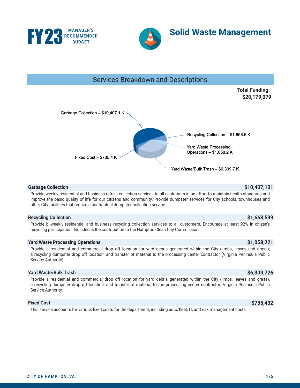





#### **Garbage Collection \$10,407,101**

Provide weekly residential and business refuse collection services to all customers in an effort to maintain health standards and improve the basic quality of life for our citizens and community. Provide dumpster services for City schools, townhouses and other City facilities that require a contractual dumpster collection service.

#### **Recycling Collection \$1,668,599**

Provide bi-weekly residential and business recycling collection services to all customers. Encourage at least 92% in citizen's recycling participation. Included is the contribution to the Hampton Clean City Commission.

#### **Yard Waste Processing Operations \$1,058,221**

Provide a residential and commercial drop off location for yard debris generated within the City (limbs, leaves and grass); a recycling dumpster drop off location; and transfer of material to the processing center contractor (Virginia Peninsula Public Service Authority).

#### **Yard Waste/Bulk Trash \$6,309,726**

Provide a residential and commercial drop off location for yard debris generated within the City (limbs, leaves and grass), a recycling dumpster drop off location, and transfer of material to the processing center contractor: Virginia Peninsula Public Service Authority.

### **Fixed Cost \$735,432**

This service accounts for various fixed costs for the department, including auto/fleet, IT, and risk management costs.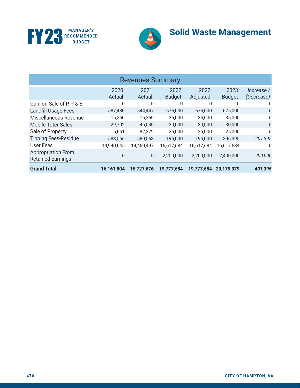



| <b>Revenues Summary</b>                               |                |                |                       |                  |                       |                         |  |  |
|-------------------------------------------------------|----------------|----------------|-----------------------|------------------|-----------------------|-------------------------|--|--|
|                                                       | 2020<br>Actual | 2021<br>Actual | 2022<br><b>Budget</b> | 2022<br>Adjusted | 2023<br><b>Budget</b> | Increase/<br>(Decrease) |  |  |
| Gain on Sale of P, P & E                              | 0              | 0              | 0                     | 0                | 0                     | 0                       |  |  |
| <b>Landfill Usage Fees</b>                            | 587,480        | 544,447        | 675,000               | 675,000          | 675,000               | $\boldsymbol{0}$        |  |  |
| Miscellaneous Revenue                                 | 15,250         | 15,250         | 35,000                | 35,000           | 35,000                | 0                       |  |  |
| <b>Mobile Toter Sales</b>                             | 29,702         | 45,040         | 30,000                | 30,000           | 30,000                | $\theta$                |  |  |
| Sale of Property                                      | 5,661          | 82,379         | 25,000                | 25,000           | 25,000                | 0                       |  |  |
| <b>Tipping Fees-Residue</b>                           | 583,066        | 580,063        | 195,000               | 195,000          | 396,395               | 201,395                 |  |  |
| User Fees                                             | 14,940,645     | 14,460,497     | 16,617,684            | 16,617,684       | 16,617,684            | 0                       |  |  |
| <b>Appropriation From</b><br><b>Retained Earnings</b> | 0              | 0              | 2,200,000             | 2,200,000        | 2,400,000             | 200,000                 |  |  |
| <b>Grand Total</b>                                    | 16,161,804     | 15,727,676     | 19,777,684            | 19,777,684       | 20,179,079            | 401,395                 |  |  |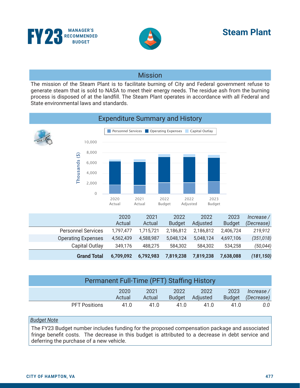



## Mission

The mission of the Steam Plant is to facilitate burning of City and Federal government refuse to generate steam that is sold to NASA to meet their energy needs. The residue ash from the burning process is disposed of at the landfill. The Steam Plant operates in accordance with all Federal and State environmental laws and standards.



| Permanent Full-Time (PFT) Staffing History |                |                |                       |                  |                       |                          |  |
|--------------------------------------------|----------------|----------------|-----------------------|------------------|-----------------------|--------------------------|--|
|                                            | 2020<br>Actual | 2021<br>Actual | 2022<br><b>Budget</b> | 2022<br>Adjusted | 2023<br><b>Budget</b> | lncrease /<br>(Decrease) |  |
| <b>PFT Positions</b>                       | 41.0           | 41.0           | 41.O                  | 41.0             | 41.0                  | 0.0                      |  |

### *Budget Note*

The FY23 Budget number includes funding for the proposed compensation package and associated fringe benefit costs. The decrease in this budget is attributed to a decrease in debt service and deferring the purchase of a new vehicle.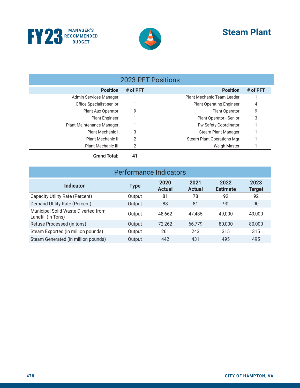



# **Steam Plant**

|                           |                | <b>2023 PFT Positions</b>         |          |
|---------------------------|----------------|-----------------------------------|----------|
| <b>Position</b>           | # of PFT       | <b>Position</b>                   | # of PFT |
| Admin Services Manager    |                | <b>Plant Mechanic Team Leader</b> |          |
| Office Specialist-senior  |                | <b>Plant Operating Engineer</b>   | 4        |
| Plant Aux Operator        | 9              | <b>Plant Operator</b>             | 9        |
| <b>Plant Engineer</b>     |                | Plant Operator - Senior           | 3        |
| Plant Maintenance Manager |                | Pw Safety Coordinator             |          |
| Plant Mechanic I          | 3              | <b>Steam Plant Manager</b>        |          |
| <b>Plant Mechanic II</b>  | $\overline{2}$ | <b>Steam Plant Operations Mgr</b> |          |
| <b>Plant Mechanic III</b> | 2              | <b>Weigh Master</b>               |          |
| <b>Grand Total:</b>       | 41             |                                   |          |

| <b>Performance Indicators</b>                             |             |                       |                       |                         |                |  |  |  |
|-----------------------------------------------------------|-------------|-----------------------|-----------------------|-------------------------|----------------|--|--|--|
| <b>Indicator</b>                                          | <b>Type</b> | 2020<br><b>Actual</b> | 2021<br><b>Actual</b> | 2022<br><b>Estimate</b> | 2023<br>Target |  |  |  |
| <b>Capacity Utility Rate (Percent)</b>                    | Output      | 81                    | 78                    | 92                      | 92             |  |  |  |
| Demand Utility Rate (Percent)                             | Output      | 88                    | 81                    | 90                      | 90             |  |  |  |
| Municipal Solid Waste Diverted from<br>Landfill (in Tons) | Output      | 48,662                | 47.485                | 49,000                  | 49,000         |  |  |  |
| Refuse Processed (in tons)                                | Output      | 72,262                | 66,779                | 80,000                  | 80,000         |  |  |  |
| Steam Exported (in million pounds)                        | Output      | 261                   | 243                   | 315                     | 315            |  |  |  |
| Steam Generated (in million pounds)                       | Output      | 442                   | 431                   | 495                     | 495            |  |  |  |

**478 CITY OF HAMPTON, VA**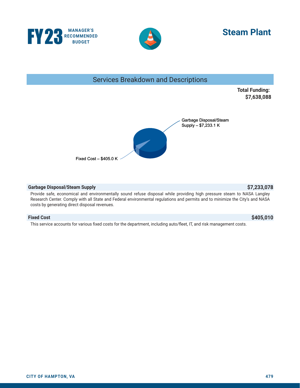







### **Garbage Disposal/Steam Supply <b>b ST 100 b 57,233,078**

Provide safe, economical and environmentally sound refuse disposal while providing high pressure steam to NASA Langley Research Center. Comply with all State and Federal environmental regulations and permits and to minimize the City's and NASA costs by generating direct disposal revenues.

### **Fixed Cost \$405,010**

This service accounts for various fixed costs for the department, including auto/fleet, IT, and risk management costs.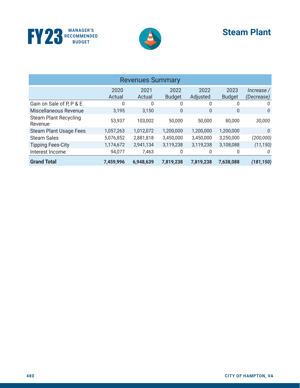



# **Steam Plant**

| <b>Revenues Summary</b>                 |                |                |                       |                  |                       |                         |  |  |
|-----------------------------------------|----------------|----------------|-----------------------|------------------|-----------------------|-------------------------|--|--|
|                                         | 2020<br>Actual | 2021<br>Actual | 2022<br><b>Budget</b> | 2022<br>Adjusted | 2023<br><b>Budget</b> | Increase/<br>(Decrease) |  |  |
| Gain on Sale of P, P & E                | 0              | 0              | 0                     | 0                | 0                     | 0                       |  |  |
| Miscellaneous Revenue                   | 3,195          | 3,150          | 0                     | 0                | 0                     | 0                       |  |  |
| <b>Steam Plant Recycling</b><br>Revenue | 53,937         | 103,002        | 50,000                | 50,000           | 80,000                | 30,000                  |  |  |
| <b>Steam Plant Usage Fees</b>           | 1,057,263      | 1,012,072      | 1,200,000             | 1,200,000        | 1,200,000             | $\theta$                |  |  |
| <b>Steam Sales</b>                      | 5,076,852      | 2,881,818      | 3,450,000             | 3,450,000        | 3,250,000             | (200,000)               |  |  |
| <b>Tipping Fees-City</b>                | 1,174,672      | 2,941,134      | 3,119,238             | 3,119,238        | 3,108,088             | (11, 150)               |  |  |
| Interest Income                         | 94,077         | 7,463          | 0                     | 0                | 0                     | 0                       |  |  |
| <b>Grand Total</b>                      | 7,459,996      | 6,948,639      | 7,819,238             | 7,819,238        | 7,638,088             | (181, 150)              |  |  |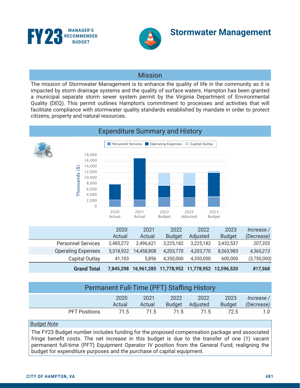



## Mission

The mission of Stormwater Management is to enhance the quality of life in the community as it is impacted by storm drainage systems and the quality of surface waters. Hampton has been granted a municipal separate storm sewer system permit by the Virginia Department of Environmental Quality (DEQ). This permit outlines Hampton's commitment to processes and activities that will facilitate compliance with stormwater quality standards established by mandate in order to protect citizens, property and natural resources.



### Expenditure Summary and History

| <b>Grand Total</b>        | 7,845,298      |                | 16,961,285 11,778,952 11,778,952 12,596,520 |                  |                       | 817,568                  |
|---------------------------|----------------|----------------|---------------------------------------------|------------------|-----------------------|--------------------------|
| Capital Outlay            | 41,103         | 5,856          | 4,350,000                                   | 4,350,000        | 600,000               | (3,750,000)              |
| <b>Operating Expenses</b> | 5,318,922      | 14.458.808     | 4,203,770                                   | 4,203,770        | 8,563,983             | 4,360,213                |
| <b>Personnel Services</b> | 2,485,272      | 2.496.621      | 3,225,182                                   | 3,225,182        | 3,432,537             | 207,355                  |
|                           | 2020<br>Actual | 2021<br>Actual | 2022<br><b>Budget</b>                       | 2022<br>Adjusted | 2023<br><b>Budget</b> | Increase /<br>(Decrease) |
|                           |                |                |                                             |                  |                       |                          |

|                      |                |                |      | Permanent Full-Time (PFT) Staffing History |                       |                          |
|----------------------|----------------|----------------|------|--------------------------------------------|-----------------------|--------------------------|
|                      | 2020<br>Actual | 2021<br>Actual | 2022 | 2022<br>Budget Adjusted                    | 2023<br><b>Budget</b> | Increase /<br>(Decrease) |
| <b>PFT Positions</b> | 71.5           | 71.5           | 71.5 | 71.5                                       | 72.5                  | 1.0                      |

### *Budget Note*

The FY23 Budget number includes funding for the proposed compensation package and associated fringe benefit costs. The net increase in this budget is due to the transfer of one (1) vacant permanent full-time (PFT) Equipment Operator IV position from the General Fund; realigning the budget for expenditure purposes and the purchase of capital equipment.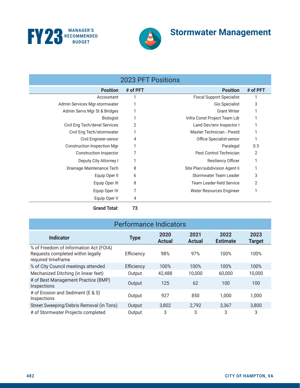



## 2023 PFT Positions

| <b>Position</b>                    | # of PFT     | <b>Position</b>                  | # of PFT |
|------------------------------------|--------------|----------------------------------|----------|
| Accountant                         |              | <b>Fiscal Support Specialist</b> |          |
| Admin Services Mgr-stormwater      |              | <b>Gis Specialist</b>            | 3        |
| Admin Servs Mgr St & Bridges       |              | <b>Grant Writer</b>              |          |
| <b>Biologist</b>                   | 1            | Infra Const Project Team Ldr     |          |
| Civil Eng Tech/devel Services      | 2            | Land Dev/env Inspector I         |          |
| Civil Eng Tech/stormwater          | 1            | <b>Master Technician - Pwstd</b> |          |
| Civil Engineer-senior              | 4            | Office Specialist-senior         | 1        |
| <b>Construction Inspection Mgr</b> | 1            | Paralegal                        | 0.5      |
| <b>Construction Inspector</b>      | 7            | <b>Pest Control Technician</b>   | 2        |
| Deputy City Attorney I             | $\mathbf{1}$ | <b>Resiliency Officer</b>        |          |
| Drainage Maintenance Tech          | 8            | Site Plan/subdivision Agent li   |          |
| Equip Oper II                      | 6            | <b>Stormwater Team Leader</b>    | 3        |
| Equip Oper III                     | 8            | <b>Team Leader-field Service</b> | 2        |
| Equip Oper IV                      | 7            | Water Resources Engineer         | 1        |
| Equip Oper V                       | 4            |                                  |          |
| <b>Grand Total:</b>                | 73           |                                  |          |

| <b>Performance Indicators</b>                                                                     |             |                       |                       |                         |                       |  |  |  |
|---------------------------------------------------------------------------------------------------|-------------|-----------------------|-----------------------|-------------------------|-----------------------|--|--|--|
| <b>Indicator</b>                                                                                  | <b>Type</b> | 2020<br><b>Actual</b> | 2021<br><b>Actual</b> | 2022<br><b>Estimate</b> | 2023<br><b>Target</b> |  |  |  |
| % of Freedom of Information Act (FOIA)<br>Requests completed within legally<br>required timeframe | Efficiency  | 98%                   | 97%                   | 100%                    | 100%                  |  |  |  |
| % of City Council meetings attended                                                               | Efficiency  | 100%                  | 100%                  | 100%                    | 100%                  |  |  |  |
| Mechanized Ditching (in linear feet)                                                              | Output      | 42,488                | 10,000                | 60,000                  | 10,000                |  |  |  |
| # of Best Management Practice (BMP)<br>Inspections                                                | Output      | 125                   | 62                    | 100                     | 100                   |  |  |  |
| # of Erosion and Sediment (E & S)<br>Inspections                                                  | Output      | 927                   | 850                   | 1,000                   | 1,000                 |  |  |  |
| Street Sweeping/Debris Removal (in Tons)                                                          | Output      | 3,802                 | 2,792                 | 3,367                   | 3,800                 |  |  |  |
| # of Stormwater Projects completed                                                                | Output      | 3                     | 3                     | 3                       | 3                     |  |  |  |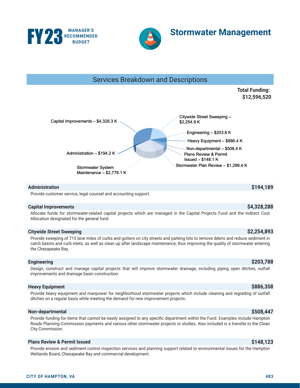



### Services Breakdown and Descriptions

**Total Funding: \$12,596,520**



### **Administration \$194,189**

Provide customer service, legal counsel and accounting support.

#### **Capital Improvements \$4,328,288**

Allocate funds for stormwater-related capital projects which are managed in the Capital Projects Fund and the Indirect Cost Allocation designated for the general fund.

### **Citywide Street Sweeping \$2,254,893**

Provide sweeping of 715 lane miles of curbs and gutters on city streets and parking lots to remove debris and reduce sediment in catch basins and curb inlets, as well as clean up after landscape maintenance, thus improving the quality of stormwater entering the Chesapeake Bay.

### **Engineering \$203,788**

Design, construct and manage capital projects that will improve stormwater drainage, including piping open ditches, outfall improvements and drainage basin construction.

#### **Heavy Equipment \$886,358**

Provide heavy equipment and manpower for neighborhood stormwater projects which include cleaning and regrading of outfall ditches on a regular basis while meeting the demand for new improvement projects.

#### **Non-departmental \$508,447**

Provide funding for items that cannot be easily assigned to any specific department within the Fund. Examples include Hampton Roads Planning Commission payments and various other stormwater projects or studies. Also included is a transfer to the Clean City Commission.

### **Plans Review & Permit Issued \$148,123**

Provide erosion and sediment control inspection services and planning support related to environmental issues for the Hampton Wetlands Board, Chesapeake Bay and commercial development.

### **CITY OF HAMPTON, VA 483**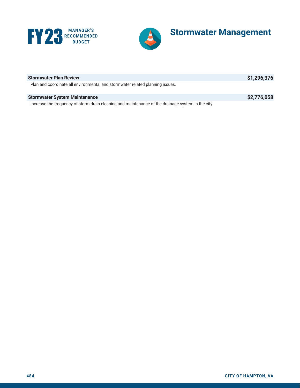



| <b>Stormwater Plan Review</b>                                                                      | \$1,296,376 |
|----------------------------------------------------------------------------------------------------|-------------|
| Plan and coordinate all environmental and stormwater related planning issues.                      |             |
| <b>Stormwater System Maintenance</b>                                                               | \$2,776,058 |
| Increase the frequency of storm drain cleaning and maintenance of the drainage system in the city. |             |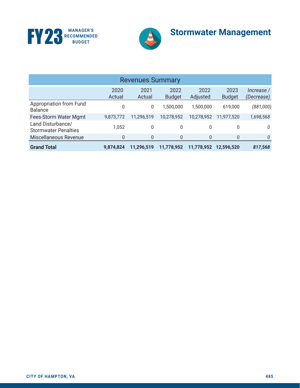



| <b>Revenues Summary</b>                          |                |                |                       |                  |                       |                          |  |
|--------------------------------------------------|----------------|----------------|-----------------------|------------------|-----------------------|--------------------------|--|
|                                                  | 2020<br>Actual | 2021<br>Actual | 2022<br><b>Budget</b> | 2022<br>Adjusted | 2023<br><b>Budget</b> | Increase /<br>(Decrease) |  |
| <b>Appropriation from Fund</b><br><b>Balance</b> | 0              | 0              | 1,500,000             | 1,500,000        | 619,000               | (881,000)                |  |
| Fees-Storm Water Mgmt                            | 9,873,772      | 11,296,519     | 10,278,952            | 10,278,952       | 11,977,520            | 1,698,568                |  |
| Land Disturbance/<br><b>Stormwater Penalties</b> | 1,052          | 0              | 0                     | 0                | 0                     | 0                        |  |
| Miscellaneous Revenue                            | $\Omega$       | $\mathbf{0}$   | 0                     | $\Omega$         | 0                     | $\Omega$                 |  |
| <b>Grand Total</b>                               | 9,874,824      | 11,296,519     | 11,778,952            | 11,778,952       | 12.596.520            | 817,568                  |  |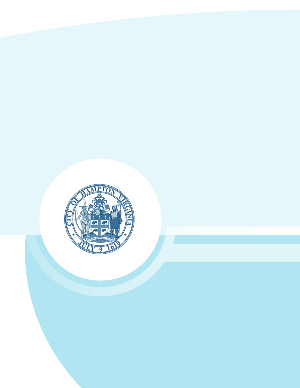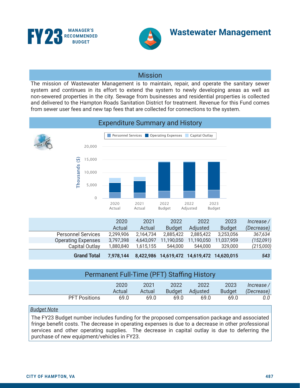



## Mission

The mission of Wastewater Management is to maintain, repair, and operate the sanitary sewer system and continues in its effort to extend the system to newly developing areas as well as non-sewered properties in the city. Sewage from businesses and residential properties is collected and delivered to the Hampton Roads Sanitation District for treatment. Revenue for this Fund comes from sewer user fees and new tap fees that are collected for connections to the system.



| <b>Grand Total</b>        | 7,978,144 |           | 8,422,986 14,619,472 14,619,472 14,620,015 |            |               | 543        |
|---------------------------|-----------|-----------|--------------------------------------------|------------|---------------|------------|
| Capital Outlay            | 1,880,840 | 1,615,155 | 544,000                                    | 544.000    | 329,000       | (215,000)  |
| <b>Operating Expenses</b> | 3,797,398 | 4,643,097 | 11,190,050                                 | 11,190,050 | 11.037.959    | (152,091)  |
| <b>Personnel Services</b> | 2,299,906 | 2,164,734 | 2,885,422                                  | 2.885.422  | 3.253.056     | 367,634    |
|                           | Actual    | Actual    | <b>Budget</b>                              | Adjusted   | <b>Budget</b> | (Decrease) |
|                           | 2020      | 2021      | 2022                                       | 2022       | 2023          | Increase/  |

|                      |                |                |                       | Permanent Full-Time (PFT) Staffing History |                       |                          |
|----------------------|----------------|----------------|-----------------------|--------------------------------------------|-----------------------|--------------------------|
|                      | 2020<br>Actual | 2021<br>Actual | 2022<br><b>Budget</b> | 2022<br>Adjusted                           | 2023<br><b>Budget</b> | Increase /<br>(Decrease) |
| <b>PFT Positions</b> | 69.0           | 69.0           | 69.0                  | 69.0                                       | 69.0                  | 0.0                      |

### *Budget Note*

The FY23 Budget number includes funding for the proposed compensation package and associated fringe benefit costs. The decrease in operating expenses is due to a decrease in other professional services and other operating supplies. The decrease in capital outlay is due to deferring the purchase of new equipment/vehicles in FY23.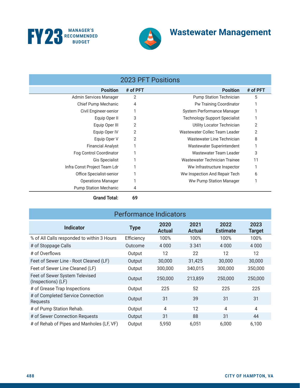



## 2023 PFT Positions

| <b>Position</b>                | # of PFT | <b>Position</b>                      | # of PFT |
|--------------------------------|----------|--------------------------------------|----------|
| Admin Services Manager         | 2        | <b>Pump Station Technician</b>       | 5        |
| Chief Pump Mechanic            | 4        | Pw Training Coordinator              |          |
| Civil Engineer-senior          |          | System Performance Manager           |          |
| Equip Oper II                  | 3        | <b>Technology Support Specialist</b> |          |
| Equip Oper III                 | 2        | Utility Locator Technician           | 2        |
| Equip Oper IV                  | 2        | Wastewater Collec Team Leader        | 2        |
| Equip Oper V                   | 2        | Wastewater Line Technician           | 8        |
| <b>Financial Analyst</b>       |          | Wastewater Superintendent            |          |
| <b>Fog Control Coordinator</b> |          | <b>Wastewater Team Leader</b>        | 3        |
| <b>Gis Specialist</b>          |          | Wastewater Technician Trainee        | 11       |
| Infra Const Project Team Ldr   |          | Ww Infrastructure Inspector          |          |
| Office Specialist-senior       |          | Ww Inspection And Repair Tech        | 6        |
| <b>Operations Manager</b>      |          | Ww Pump Station Manager              |          |
| <b>Pump Station Mechanic</b>   | 4        |                                      |          |
| <b>Grand Total:</b>            | 69       |                                      |          |

| <b>Performance Indicators</b>                        |             |                       |                       |                         |                       |  |  |  |
|------------------------------------------------------|-------------|-----------------------|-----------------------|-------------------------|-----------------------|--|--|--|
| <b>Indicator</b>                                     | <b>Type</b> | 2020<br><b>Actual</b> | 2021<br><b>Actual</b> | 2022<br><b>Estimate</b> | 2023<br><b>Target</b> |  |  |  |
| % of All Calls responded to within 3 Hours           | Efficiency  | 100%                  | 100%                  | 100%                    | 100%                  |  |  |  |
| # of Stoppage Calls                                  | Outcome     | 4 0 0 0               | 3 3 4 1               | 4 0 0 0                 | 4 0 0 0               |  |  |  |
| # of Overflows                                       | Output      | 12                    | 22                    | 12                      | 12                    |  |  |  |
| Feet of Sewer Line - Root Cleaned (LF)               | Output      | 30,000                | 31,425                | 30,000                  | 30,000                |  |  |  |
| Feet of Sewer Line Cleaned (LF)                      | Output      | 300,000               | 340,015               | 300,000                 | 350,000               |  |  |  |
| Feet of Sewer System Televised<br>(Inspections) (LF) | Output      | 250,000               | 213,859               | 250,000                 | 250,000               |  |  |  |
| # of Grease Trap Inspections                         | Output      | 225                   | 52                    | 225                     | 225                   |  |  |  |
| # of Completed Service Connection<br>Requests        | Output      | 31                    | 39                    | 31                      | 31                    |  |  |  |
| # of Pump Station Rehab.                             | Output      | 4                     | 12                    | $\overline{4}$          | $\overline{4}$        |  |  |  |
| # of Sewer Connection Requests                       | Output      | 31                    | 88                    | 31                      | 44                    |  |  |  |
| # of Rehab of Pipes and Manholes (LF, VF)            | Output      | 5,950                 | 6,051                 | 6,000                   | 6,100                 |  |  |  |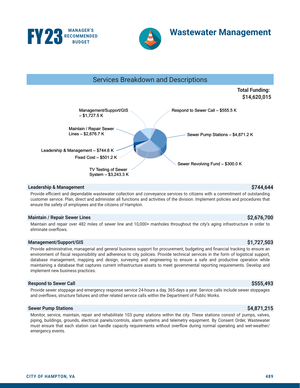





### **Leadership & Management \$744,644**

Provide efficient and dependable wastewater collection and conveyance services to citizens with a commitment of outstanding customer service. Plan, direct and administer all functions and activities of the division. Implement policies and procedures that ensure the safety of employees and the citizens of Hampton.

#### **Maintain / Repair Sewer Lines \$2,676,700**

Maintain and repair over 482 miles of sewer line and 10,000+ manholes throughout the city's aging infrastructure in order to eliminate overflows.

#### **Management/Support/GIS \$1,727,503**

Provide administrative, managerial and general business support for procurement, budgeting and financial tracking to ensure an environment of fiscal responsibility and adherence to city policies. Provide technical services in the form of logistical support, database management, mapping and design, surveying and engineering to ensure a safe and productive operation while maintaining a database that captures current infrastructure assets to meet governmental reporting requirements. Develop and implement new business practices.

#### **Respond to Sewer Call \$555,493**

Provide sewer stoppage and emergency response service 24-hours a day, 365-days a year. Service calls include sewer stoppages and overflows, structure failures and other related service calls within the Department of Public Works.

### **Sewer Pump Stations \$4,871,215**

Monitor, service, maintain, repair and rehabilitate 103 pump stations within the city. These stations consist of pumps, valves, piping, buildings, grounds, electrical panels/controls, alarm systems and telemetry equipment. By Consent Order, Wastewater must ensure that each station can handle capacity requirements without overflow during normal operating and wet-weather/ emergency events.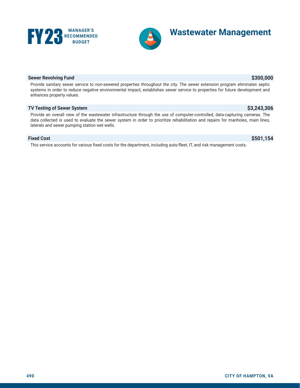## **Sewer Revolving Fund \$300,000**

Provide sanitary sewer service to non-sewered properties throughout the city. The sewer extension program eliminates septic systems in order to reduce negative environmental impact, establishes sewer service to properties for future development and enhances property values.

### **TV Testing of Sewer System \$3,243,306**

Provide an overall view of the wastewater infrastructure through the use of computer-controlled, data-capturing cameras. The data collected is used to evaluate the sewer system in order to prioritize rehabilitation and repairs for manholes, main lines, laterals and sewer pumping station wet wells.

### **Fixed Cost \$501,154**

This service accounts for various fixed costs for the department, including auto/fleet, IT, and risk management costs.





# **Wastewater Management**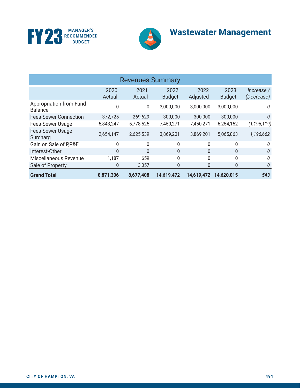



| <b>Revenues Summary</b>                          |                |                |                       |                  |                       |                         |  |  |
|--------------------------------------------------|----------------|----------------|-----------------------|------------------|-----------------------|-------------------------|--|--|
|                                                  | 2020<br>Actual | 2021<br>Actual | 2022<br><b>Budget</b> | 2022<br>Adjusted | 2023<br><b>Budget</b> | Increase/<br>(Decrease) |  |  |
| <b>Appropriation from Fund</b><br><b>Balance</b> | 0              | 0              | 3,000,000             | 3,000,000        | 3,000,000             | 0                       |  |  |
| <b>Fees-Sewer Connection</b>                     | 372,725        | 269,629        | 300,000               | 300,000          | 300,000               | $\theta$                |  |  |
| <b>Fees-Sewer Usage</b>                          | 5,843,247      | 5,778,525      | 7,450,271             | 7,450,271        | 6,254,152             | (1, 196, 119)           |  |  |
| Fees-Sewer Usage<br>Surcharg                     | 2,654,147      | 2,625,539      | 3,869,201             | 3,869,201        | 5,065,863             | 1,196,662               |  |  |
| Gain on Sale of P,P&E                            | $\mathbf{0}$   | $\mathbf{0}$   | 0                     | 0                | 0                     | 0                       |  |  |
| Interest-Other                                   | $\mathbf{0}$   | $\mathbf{0}$   | $\mathbf{0}$          | $\overline{0}$   | 0                     | 0                       |  |  |
| Miscellaneous Revenue                            | 1,187          | 659            | 0                     | $\Omega$         | $\mathbf 0$           | 0                       |  |  |
| Sale of Property                                 | 0              | 3,057          | 0                     | 0                | $\mathbf 0$           | 0                       |  |  |
| <b>Grand Total</b>                               | 8,871,306      | 8,677,408      | 14,619,472            | 14,619,472       | 14,620,015            | 543                     |  |  |